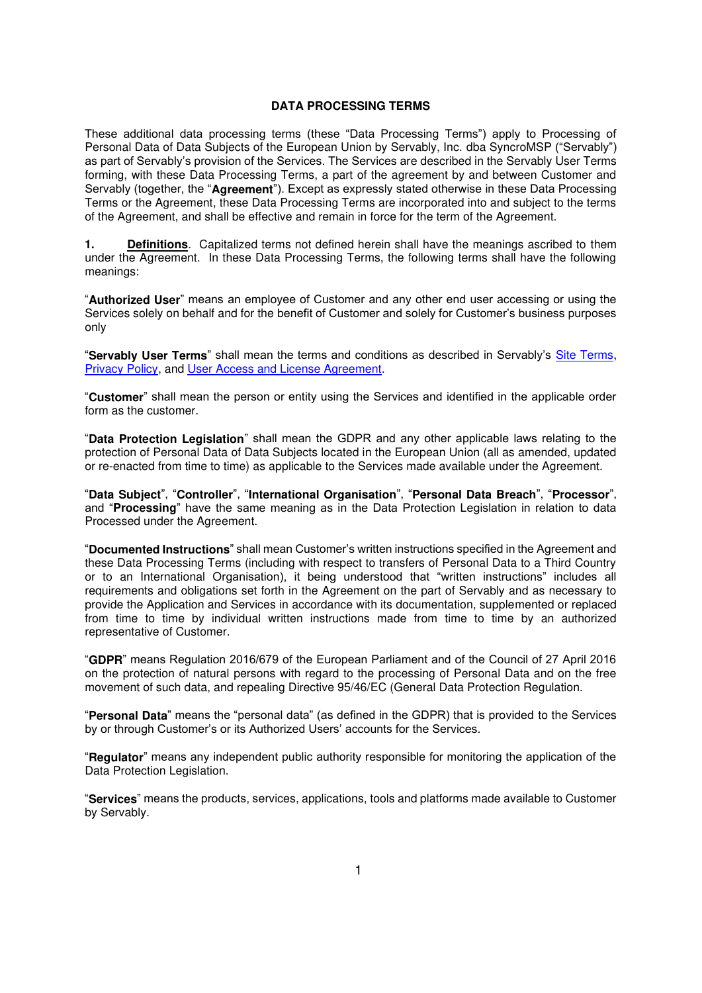### **DATA PROCESSING TERMS**

These additional data processing terms (these "Data Processing Terms") apply to Processing of Personal Data of Data Subjects of the European Union by Servably, Inc. dba SyncroMSP ("Servably") as part of Servably's provision of the Services. The Services are described in the Servably User Terms forming, with these Data Processing Terms, a part of the agreement by and between Customer and Servably (together, the "**Agreement**"). Except as expressly stated otherwise in these Data Processing Terms or the Agreement, these Data Processing Terms are incorporated into and subject to the terms of the Agreement, and shall be effective and remain in force for the term of the Agreement.

**1. Definitions**. Capitalized terms not defined herein shall have the meanings ascribed to them under the Agreement. In these Data Processing Terms, the following terms shall have the following meanings:

"**Authorized User**" means an employee of Customer and any other end user accessing or using the Services solely on behalf and for the benefit of Customer and solely for Customer's business purposes only

"**Servably User Terms**" shall mean the terms and conditions as described in Servably's [Site Terms,](https://syncromsp.com/site-terms/) [Privacy Policy,](https://syncromsp.com/privacy-policy/) and [User Access and License Agreement.](https://syncromsp.com/syncro-user-access-and-license-agreement/)

"**Customer**" shall mean the person or entity using the Services and identified in the applicable order form as the customer.

"**Data Protection Legislation**" shall mean the GDPR and any other applicable laws relating to the protection of Personal Data of Data Subjects located in the European Union (all as amended, updated or re-enacted from time to time) as applicable to the Services made available under the Agreement.

"**Data Subject**", "**Controller**", "**International Organisation**", "**Personal Data Breach**", "**Processor**", and "**Processing**" have the same meaning as in the Data Protection Legislation in relation to data Processed under the Agreement.

"**Documented Instructions**" shall mean Customer's written instructions specified in the Agreement and these Data Processing Terms (including with respect to transfers of Personal Data to a Third Country or to an International Organisation), it being understood that "written instructions" includes all requirements and obligations set forth in the Agreement on the part of Servably and as necessary to provide the Application and Services in accordance with its documentation, supplemented or replaced from time to time by individual written instructions made from time to time by an authorized representative of Customer.

"**GDPR**" means Regulation 2016/679 of the European Parliament and of the Council of 27 April 2016 on the protection of natural persons with regard to the processing of Personal Data and on the free movement of such data, and repealing Directive 95/46/EC (General Data Protection Regulation.

"**Personal Data**" means the "personal data" (as defined in the GDPR) that is provided to the Services by or through Customer's or its Authorized Users' accounts for the Services.

"**Regulator**" means any independent public authority responsible for monitoring the application of the Data Protection Legislation.

"**Services**" means the products, services, applications, tools and platforms made available to Customer by Servably.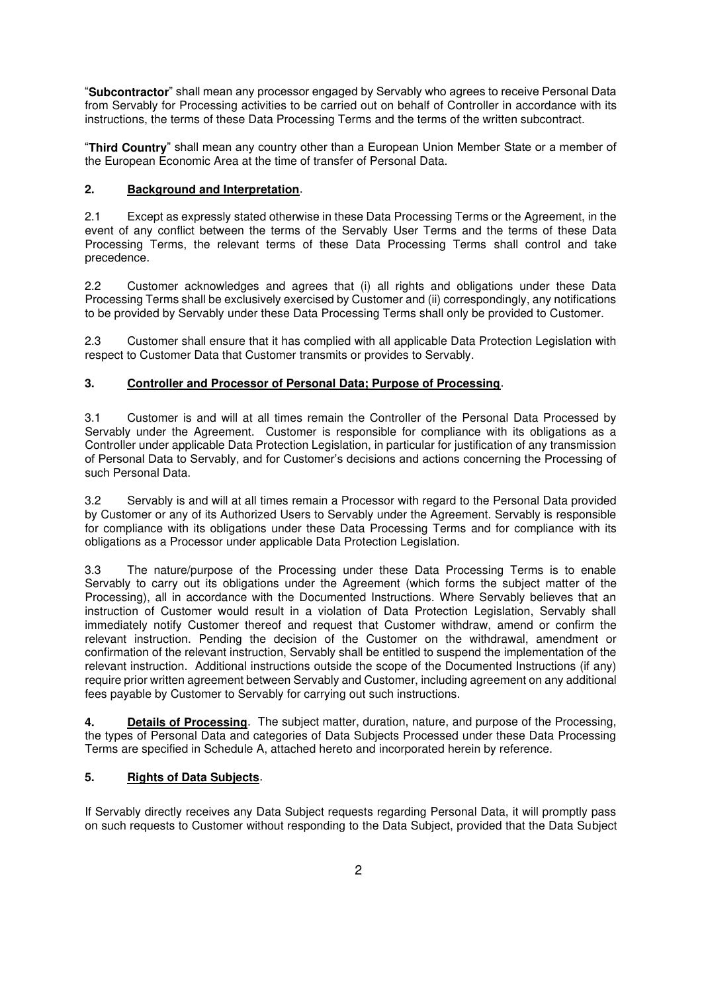"**Subcontractor**" shall mean any processor engaged by Servably who agrees to receive Personal Data from Servably for Processing activities to be carried out on behalf of Controller in accordance with its instructions, the terms of these Data Processing Terms and the terms of the written subcontract.

"**Third Country**" shall mean any country other than a European Union Member State or a member of the European Economic Area at the time of transfer of Personal Data.

# **2. Background and Interpretation**.

2.1 Except as expressly stated otherwise in these Data Processing Terms or the Agreement, in the event of any conflict between the terms of the Servably User Terms and the terms of these Data Processing Terms, the relevant terms of these Data Processing Terms shall control and take precedence.

2.2 Customer acknowledges and agrees that (i) all rights and obligations under these Data Processing Terms shall be exclusively exercised by Customer and (ii) correspondingly, any notifications to be provided by Servably under these Data Processing Terms shall only be provided to Customer.

2.3 Customer shall ensure that it has complied with all applicable Data Protection Legislation with respect to Customer Data that Customer transmits or provides to Servably.

# **3. Controller and Processor of Personal Data; Purpose of Processing**.

3.1 Customer is and will at all times remain the Controller of the Personal Data Processed by Servably under the Agreement. Customer is responsible for compliance with its obligations as a Controller under applicable Data Protection Legislation, in particular for justification of any transmission of Personal Data to Servably, and for Customer's decisions and actions concerning the Processing of such Personal Data.

3.2 Servably is and will at all times remain a Processor with regard to the Personal Data provided by Customer or any of its Authorized Users to Servably under the Agreement. Servably is responsible for compliance with its obligations under these Data Processing Terms and for compliance with its obligations as a Processor under applicable Data Protection Legislation.

3.3 The nature/purpose of the Processing under these Data Processing Terms is to enable Servably to carry out its obligations under the Agreement (which forms the subject matter of the Processing), all in accordance with the Documented Instructions. Where Servably believes that an instruction of Customer would result in a violation of Data Protection Legislation, Servably shall immediately notify Customer thereof and request that Customer withdraw, amend or confirm the relevant instruction. Pending the decision of the Customer on the withdrawal, amendment or confirmation of the relevant instruction, Servably shall be entitled to suspend the implementation of the relevant instruction. Additional instructions outside the scope of the Documented Instructions (if any) require prior written agreement between Servably and Customer, including agreement on any additional fees payable by Customer to Servably for carrying out such instructions.

**4. Details of Processing**. The subject matter, duration, nature, and purpose of the Processing, the types of Personal Data and categories of Data Subjects Processed under these Data Processing Terms are specified in Schedule A, attached hereto and incorporated herein by reference.

# **5. Rights of Data Subjects**.

If Servably directly receives any Data Subject requests regarding Personal Data, it will promptly pass on such requests to Customer without responding to the Data Subject, provided that the Data Subject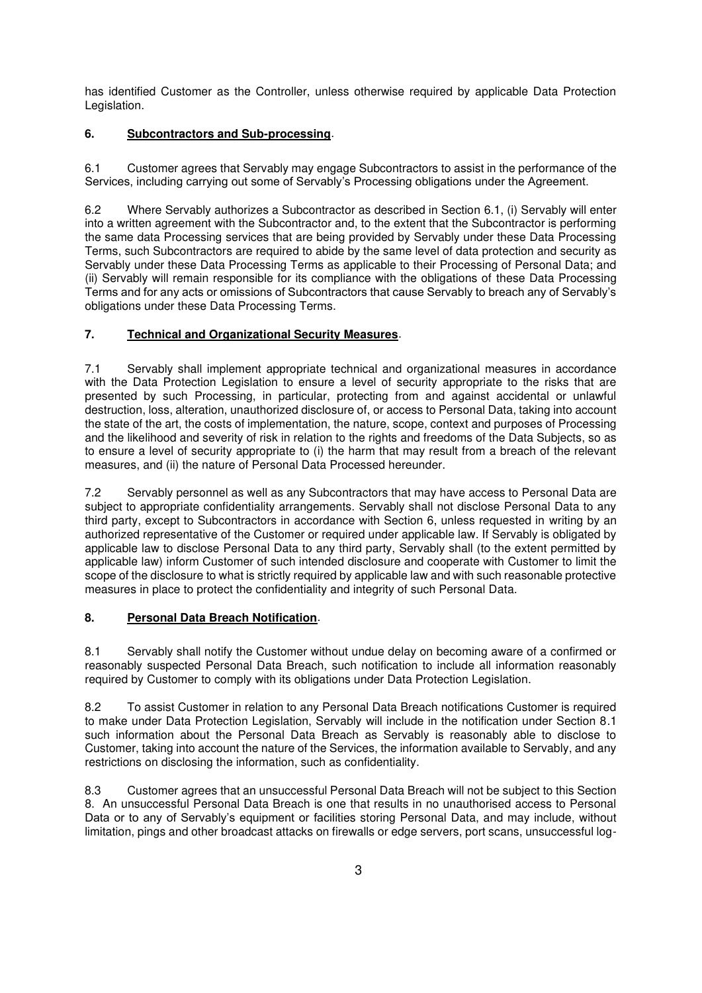has identified Customer as the Controller, unless otherwise required by applicable Data Protection Legislation.

# **6. Subcontractors and Sub-processing**.

6.1 Customer agrees that Servably may engage Subcontractors to assist in the performance of the Services, including carrying out some of Servably's Processing obligations under the Agreement.

6.2 Where Servably authorizes a Subcontractor as described in Section 6.1, (i) Servably will enter into a written agreement with the Subcontractor and, to the extent that the Subcontractor is performing the same data Processing services that are being provided by Servably under these Data Processing Terms, such Subcontractors are required to abide by the same level of data protection and security as Servably under these Data Processing Terms as applicable to their Processing of Personal Data; and (ii) Servably will remain responsible for its compliance with the obligations of these Data Processing Terms and for any acts or omissions of Subcontractors that cause Servably to breach any of Servably's obligations under these Data Processing Terms.

# **7. Technical and Organizational Security Measures**.

7.1 Servably shall implement appropriate technical and organizational measures in accordance with the Data Protection Legislation to ensure a level of security appropriate to the risks that are presented by such Processing, in particular, protecting from and against accidental or unlawful destruction, loss, alteration, unauthorized disclosure of, or access to Personal Data, taking into account the state of the art, the costs of implementation, the nature, scope, context and purposes of Processing and the likelihood and severity of risk in relation to the rights and freedoms of the Data Subjects, so as to ensure a level of security appropriate to (i) the harm that may result from a breach of the relevant measures, and (ii) the nature of Personal Data Processed hereunder.

7.2 Servably personnel as well as any Subcontractors that may have access to Personal Data are subject to appropriate confidentiality arrangements. Servably shall not disclose Personal Data to any third party, except to Subcontractors in accordance with Section 6, unless requested in writing by an authorized representative of the Customer or required under applicable law. If Servably is obligated by applicable law to disclose Personal Data to any third party, Servably shall (to the extent permitted by applicable law) inform Customer of such intended disclosure and cooperate with Customer to limit the scope of the disclosure to what is strictly required by applicable law and with such reasonable protective measures in place to protect the confidentiality and integrity of such Personal Data.

# **8. Personal Data Breach Notification**.

8.1 Servably shall notify the Customer without undue delay on becoming aware of a confirmed or reasonably suspected Personal Data Breach, such notification to include all information reasonably required by Customer to comply with its obligations under Data Protection Legislation.

8.2 To assist Customer in relation to any Personal Data Breach notifications Customer is required to make under Data Protection Legislation, Servably will include in the notification under Section 8.1 such information about the Personal Data Breach as Servably is reasonably able to disclose to Customer, taking into account the nature of the Services, the information available to Servably, and any restrictions on disclosing the information, such as confidentiality.

8.3 Customer agrees that an unsuccessful Personal Data Breach will not be subject to this Section 8. An unsuccessful Personal Data Breach is one that results in no unauthorised access to Personal Data or to any of Servably's equipment or facilities storing Personal Data, and may include, without limitation, pings and other broadcast attacks on firewalls or edge servers, port scans, unsuccessful log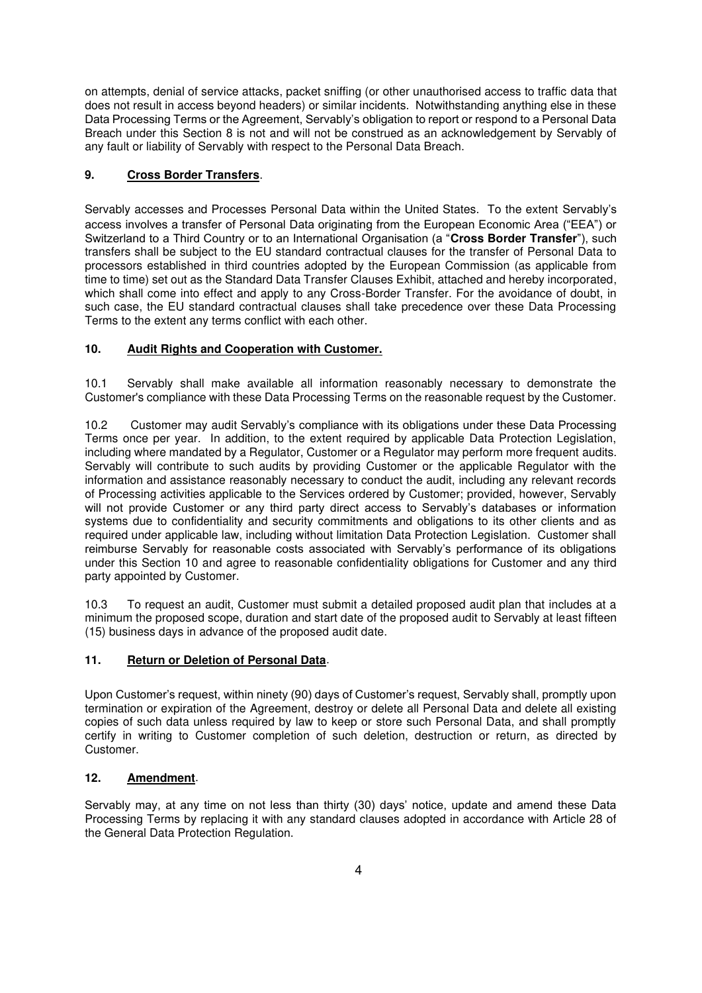on attempts, denial of service attacks, packet sniffing (or other unauthorised access to traffic data that does not result in access beyond headers) or similar incidents. Notwithstanding anything else in these Data Processing Terms or the Agreement, Servably's obligation to report or respond to a Personal Data Breach under this Section 8 is not and will not be construed as an acknowledgement by Servably of any fault or liability of Servably with respect to the Personal Data Breach.

# **9. Cross Border Transfers**.

Servably accesses and Processes Personal Data within the United States. To the extent Servably's access involves a transfer of Personal Data originating from the European Economic Area ("EEA") or Switzerland to a Third Country or to an International Organisation (a "**Cross Border Transfer**"), such transfers shall be subject to the EU standard contractual clauses for the transfer of Personal Data to processors established in third countries adopted by the European Commission (as applicable from time to time) set out as the Standard Data Transfer Clauses Exhibit, attached and hereby incorporated, which shall come into effect and apply to any Cross-Border Transfer. For the avoidance of doubt, in such case, the EU standard contractual clauses shall take precedence over these Data Processing Terms to the extent any terms conflict with each other.

# **10. Audit Rights and Cooperation with Customer.**

10.1 Servably shall make available all information reasonably necessary to demonstrate the Customer's compliance with these Data Processing Terms on the reasonable request by the Customer.

10.2 Customer may audit Servably's compliance with its obligations under these Data Processing Terms once per year. In addition, to the extent required by applicable Data Protection Legislation, including where mandated by a Regulator, Customer or a Regulator may perform more frequent audits. Servably will contribute to such audits by providing Customer or the applicable Regulator with the information and assistance reasonably necessary to conduct the audit, including any relevant records of Processing activities applicable to the Services ordered by Customer; provided, however, Servably will not provide Customer or any third party direct access to Servably's databases or information systems due to confidentiality and security commitments and obligations to its other clients and as required under applicable law, including without limitation Data Protection Legislation. Customer shall reimburse Servably for reasonable costs associated with Servably's performance of its obligations under this Section 10 and agree to reasonable confidentiality obligations for Customer and any third party appointed by Customer.

10.3 To request an audit, Customer must submit a detailed proposed audit plan that includes at a minimum the proposed scope, duration and start date of the proposed audit to Servably at least fifteen (15) business days in advance of the proposed audit date.

# **11. Return or Deletion of Personal Data**.

Upon Customer's request, within ninety (90) days of Customer's request, Servably shall, promptly upon termination or expiration of the Agreement, destroy or delete all Personal Data and delete all existing copies of such data unless required by law to keep or store such Personal Data, and shall promptly certify in writing to Customer completion of such deletion, destruction or return, as directed by Customer.

# **12. Amendment**.

Servably may, at any time on not less than thirty (30) days' notice, update and amend these Data Processing Terms by replacing it with any standard clauses adopted in accordance with Article 28 of the General Data Protection Regulation.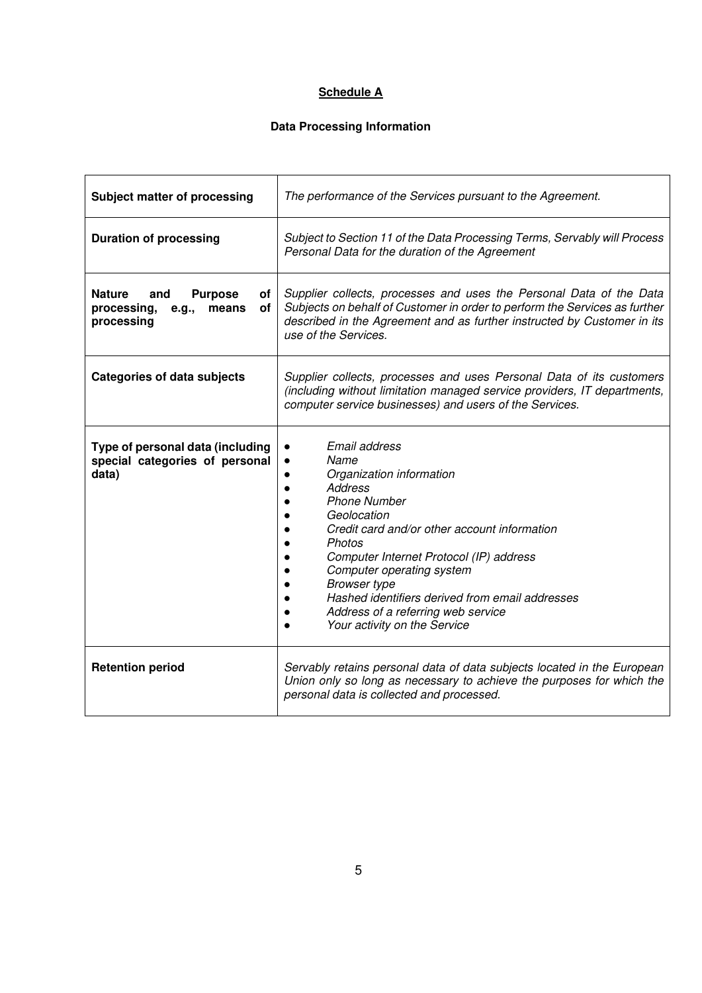# **Schedule A**

# **Data Processing Information**

| <b>Subject matter of processing</b>                                                               | The performance of the Services pursuant to the Agreement.                                                                                                                                                                                                                                                                                                                                                            |
|---------------------------------------------------------------------------------------------------|-----------------------------------------------------------------------------------------------------------------------------------------------------------------------------------------------------------------------------------------------------------------------------------------------------------------------------------------------------------------------------------------------------------------------|
| <b>Duration of processing</b>                                                                     | Subject to Section 11 of the Data Processing Terms, Servably will Process<br>Personal Data for the duration of the Agreement                                                                                                                                                                                                                                                                                          |
| <b>Nature</b><br><b>Purpose</b><br>and<br>of<br>of<br>processing,<br>e.g.,<br>means<br>processing | Supplier collects, processes and uses the Personal Data of the Data<br>Subjects on behalf of Customer in order to perform the Services as further<br>described in the Agreement and as further instructed by Customer in its<br>use of the Services.                                                                                                                                                                  |
| <b>Categories of data subjects</b>                                                                | Supplier collects, processes and uses Personal Data of its customers<br>(including without limitation managed service providers, IT departments,<br>computer service businesses) and users of the Services.                                                                                                                                                                                                           |
| Type of personal data (including<br>special categories of personal<br>data)                       | Email address<br>$\bullet$<br>Name<br>$\bullet$<br>Organization information<br><b>Address</b><br><b>Phone Number</b><br>Geolocation<br>Credit card and/or other account information<br>Photos<br>Computer Internet Protocol (IP) address<br>Computer operating system<br><b>Browser</b> type<br>Hashed identifiers derived from email addresses<br>Address of a referring web service<br>Your activity on the Service |
| <b>Retention period</b>                                                                           | Servably retains personal data of data subjects located in the European<br>Union only so long as necessary to achieve the purposes for which the<br>personal data is collected and processed.                                                                                                                                                                                                                         |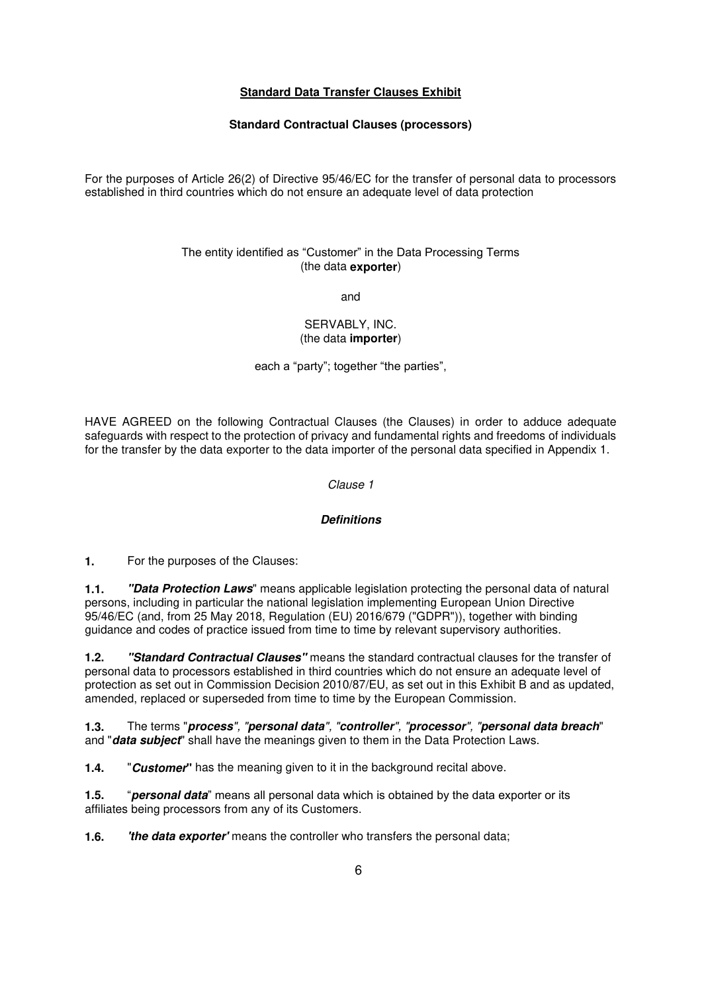# **Standard Data Transfer Clauses Exhibit**

# **Standard Contractual Clauses (processors)**

For the purposes of Article 26(2) of Directive 95/46/EC for the transfer of personal data to processors established in third countries which do not ensure an adequate level of data protection

## The entity identified as "Customer" in the Data Processing Terms (the data **exporter**)

and

## SERVABLY, INC. (the data **importer**)

each a "party"; together "the parties",

HAVE AGREED on the following Contractual Clauses (the Clauses) in order to adduce adequate safeguards with respect to the protection of privacy and fundamental rights and freedoms of individuals for the transfer by the data exporter to the data importer of the personal data specified in Appendix 1.

## Clause 1

# **Definitions**

**1.** For the purposes of the Clauses:

**1.1. "Data Protection Laws**" means applicable legislation protecting the personal data of natural persons, including in particular the national legislation implementing European Union Directive 95/46/EC (and, from 25 May 2018, Regulation (EU) 2016/679 ("GDPR")), together with binding guidance and codes of practice issued from time to time by relevant supervisory authorities.

**1.2. "Standard Contractual Clauses"** means the standard contractual clauses for the transfer of personal data to processors established in third countries which do not ensure an adequate level of protection as set out in Commission Decision 2010/87/EU, as set out in this Exhibit B and as updated, amended, replaced or superseded from time to time by the European Commission.

**1.3.** The terms "**process**", "**personal data**", "**controller**", "**processor**", "**personal data breach**" and "**data subject**" shall have the meanings given to them in the Data Protection Laws.

**1.4.** "**Customer"** has the meaning given to it in the background recital above.

**1.5.** "**personal data**" means all personal data which is obtained by the data exporter or its affiliates being processors from any of its Customers.

**1.6. 'the data exporter'** means the controller who transfers the personal data;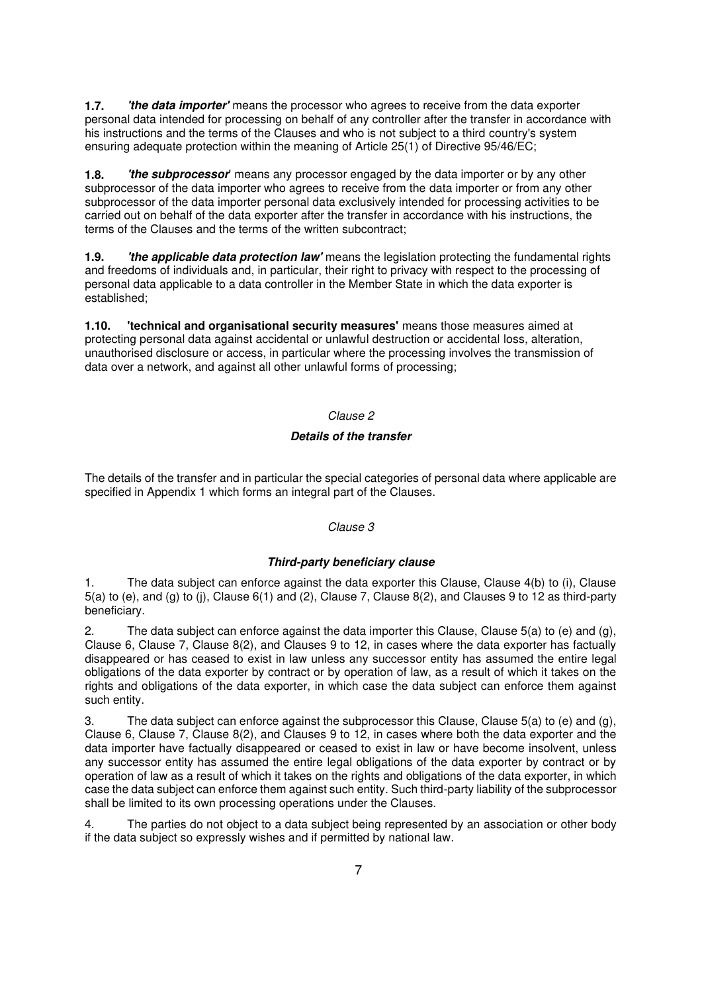**1.7. 'the data importer'** means the processor who agrees to receive from the data exporter personal data intended for processing on behalf of any controller after the transfer in accordance with his instructions and the terms of the Clauses and who is not subject to a third country's system ensuring adequate protection within the meaning of Article 25(1) of Directive 95/46/EC;

**1.8. 'the subprocessor**' means any processor engaged by the data importer or by any other subprocessor of the data importer who agrees to receive from the data importer or from any other subprocessor of the data importer personal data exclusively intended for processing activities to be carried out on behalf of the data exporter after the transfer in accordance with his instructions, the terms of the Clauses and the terms of the written subcontract;

**1.9.** *'the applicable data protection law'* means the legislation protecting the fundamental rights and freedoms of individuals and, in particular, their right to privacy with respect to the processing of personal data applicable to a data controller in the Member State in which the data exporter is established;

**1.10. 'technical and organisational security measures'** means those measures aimed at protecting personal data against accidental or unlawful destruction or accidental loss, alteration, unauthorised disclosure or access, in particular where the processing involves the transmission of data over a network, and against all other unlawful forms of processing;

## Clause 2

## **Details of the transfer**

The details of the transfer and in particular the special categories of personal data where applicable are specified in Appendix 1 which forms an integral part of the Clauses.

#### Clause 3

## **Third-party beneficiary clause**

1. The data subject can enforce against the data exporter this Clause, Clause 4(b) to (i), Clause 5(a) to (e), and (g) to (j), Clause 6(1) and (2), Clause 7, Clause 8(2), and Clauses 9 to 12 as third-party beneficiary.

2. The data subject can enforce against the data importer this Clause, Clause 5(a) to (e) and (g), Clause 6, Clause 7, Clause 8(2), and Clauses 9 to 12, in cases where the data exporter has factually disappeared or has ceased to exist in law unless any successor entity has assumed the entire legal obligations of the data exporter by contract or by operation of law, as a result of which it takes on the rights and obligations of the data exporter, in which case the data subject can enforce them against such entity.

3. The data subject can enforce against the subprocessor this Clause, Clause 5(a) to (e) and (g), Clause 6, Clause 7, Clause 8(2), and Clauses 9 to 12, in cases where both the data exporter and the data importer have factually disappeared or ceased to exist in law or have become insolvent, unless any successor entity has assumed the entire legal obligations of the data exporter by contract or by operation of law as a result of which it takes on the rights and obligations of the data exporter, in which case the data subject can enforce them against such entity. Such third-party liability of the subprocessor shall be limited to its own processing operations under the Clauses.

4. The parties do not object to a data subject being represented by an association or other body if the data subject so expressly wishes and if permitted by national law.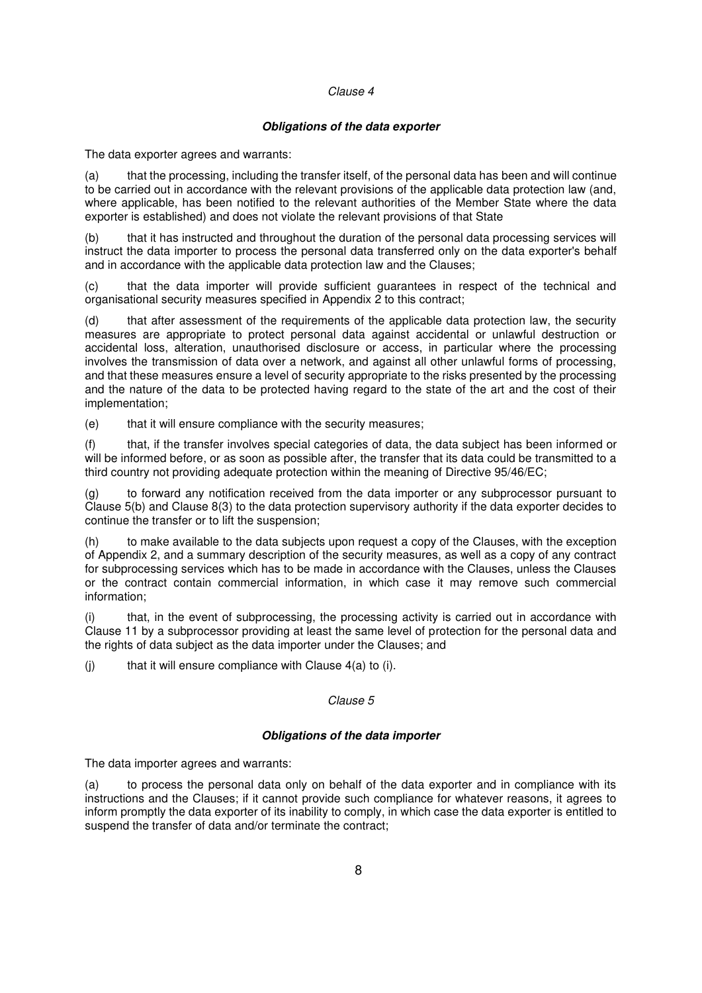#### Clause 4

## **Obligations of the data exporter**

The data exporter agrees and warrants:

(a) that the processing, including the transfer itself, of the personal data has been and will continue to be carried out in accordance with the relevant provisions of the applicable data protection law (and, where applicable, has been notified to the relevant authorities of the Member State where the data exporter is established) and does not violate the relevant provisions of that State

(b) that it has instructed and throughout the duration of the personal data processing services will instruct the data importer to process the personal data transferred only on the data exporter's behalf and in accordance with the applicable data protection law and the Clauses;

(c) that the data importer will provide sufficient guarantees in respect of the technical and organisational security measures specified in Appendix 2 to this contract;

(d) that after assessment of the requirements of the applicable data protection law, the security measures are appropriate to protect personal data against accidental or unlawful destruction or accidental loss, alteration, unauthorised disclosure or access, in particular where the processing involves the transmission of data over a network, and against all other unlawful forms of processing, and that these measures ensure a level of security appropriate to the risks presented by the processing and the nature of the data to be protected having regard to the state of the art and the cost of their implementation;

(e) that it will ensure compliance with the security measures;

(f) that, if the transfer involves special categories of data, the data subject has been informed or will be informed before, or as soon as possible after, the transfer that its data could be transmitted to a third country not providing adequate protection within the meaning of Directive 95/46/EC;

(g) to forward any notification received from the data importer or any subprocessor pursuant to Clause 5(b) and Clause 8(3) to the data protection supervisory authority if the data exporter decides to continue the transfer or to lift the suspension;

(h) to make available to the data subjects upon request a copy of the Clauses, with the exception of Appendix 2, and a summary description of the security measures, as well as a copy of any contract for subprocessing services which has to be made in accordance with the Clauses, unless the Clauses or the contract contain commercial information, in which case it may remove such commercial information;

(i) that, in the event of subprocessing, the processing activity is carried out in accordance with Clause 11 by a subprocessor providing at least the same level of protection for the personal data and the rights of data subject as the data importer under the Clauses; and

 $(i)$  that it will ensure compliance with Clause  $4(a)$  to  $(i)$ .

# Clause 5

#### **Obligations of the data importer**

The data importer agrees and warrants:

(a) to process the personal data only on behalf of the data exporter and in compliance with its instructions and the Clauses; if it cannot provide such compliance for whatever reasons, it agrees to inform promptly the data exporter of its inability to comply, in which case the data exporter is entitled to suspend the transfer of data and/or terminate the contract;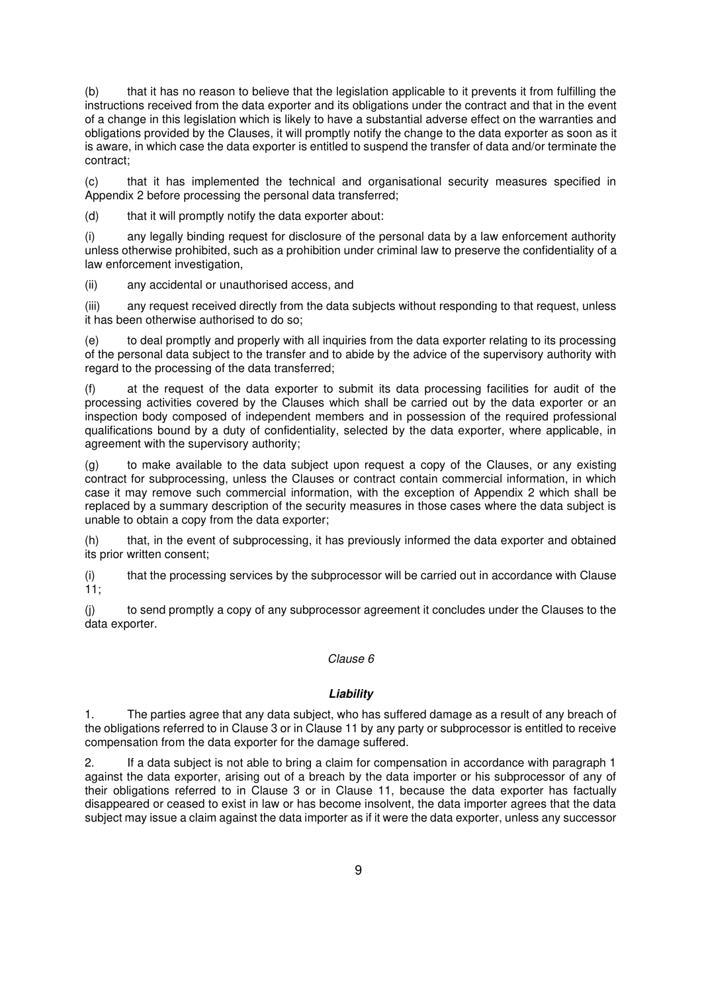(b) that it has no reason to believe that the legislation applicable to it prevents it from fulfilling the instructions received from the data exporter and its obligations under the contract and that in the event of a change in this legislation which is likely to have a substantial adverse effect on the warranties and obligations provided by the Clauses, it will promptly notify the change to the data exporter as soon as it is aware, in which case the data exporter is entitled to suspend the transfer of data and/or terminate the contract;

(c) that it has implemented the technical and organisational security measures specified in Appendix 2 before processing the personal data transferred;

(d) that it will promptly notify the data exporter about:

(i) any legally binding request for disclosure of the personal data by a law enforcement authority unless otherwise prohibited, such as a prohibition under criminal law to preserve the confidentiality of a law enforcement investigation,

(ii) any accidental or unauthorised access, and

(iii) any request received directly from the data subjects without responding to that request, unless it has been otherwise authorised to do so;

(e) to deal promptly and properly with all inquiries from the data exporter relating to its processing of the personal data subject to the transfer and to abide by the advice of the supervisory authority with regard to the processing of the data transferred;

(f) at the request of the data exporter to submit its data processing facilities for audit of the processing activities covered by the Clauses which shall be carried out by the data exporter or an inspection body composed of independent members and in possession of the required professional qualifications bound by a duty of confidentiality, selected by the data exporter, where applicable, in agreement with the supervisory authority;

(g) to make available to the data subject upon request a copy of the Clauses, or any existing contract for subprocessing, unless the Clauses or contract contain commercial information, in which case it may remove such commercial information, with the exception of Appendix 2 which shall be replaced by a summary description of the security measures in those cases where the data subject is unable to obtain a copy from the data exporter;

(h) that, in the event of subprocessing, it has previously informed the data exporter and obtained its prior written consent;

(i) that the processing services by the subprocessor will be carried out in accordance with Clause 11;

(j) to send promptly a copy of any subprocessor agreement it concludes under the Clauses to the data exporter.

#### Clause 6

## **Liability**

1. The parties agree that any data subject, who has suffered damage as a result of any breach of the obligations referred to in Clause 3 or in Clause 11 by any party or subprocessor is entitled to receive compensation from the data exporter for the damage suffered.

2. If a data subject is not able to bring a claim for compensation in accordance with paragraph 1 against the data exporter, arising out of a breach by the data importer or his subprocessor of any of their obligations referred to in Clause 3 or in Clause 11, because the data exporter has factually disappeared or ceased to exist in law or has become insolvent, the data importer agrees that the data subject may issue a claim against the data importer as if it were the data exporter, unless any successor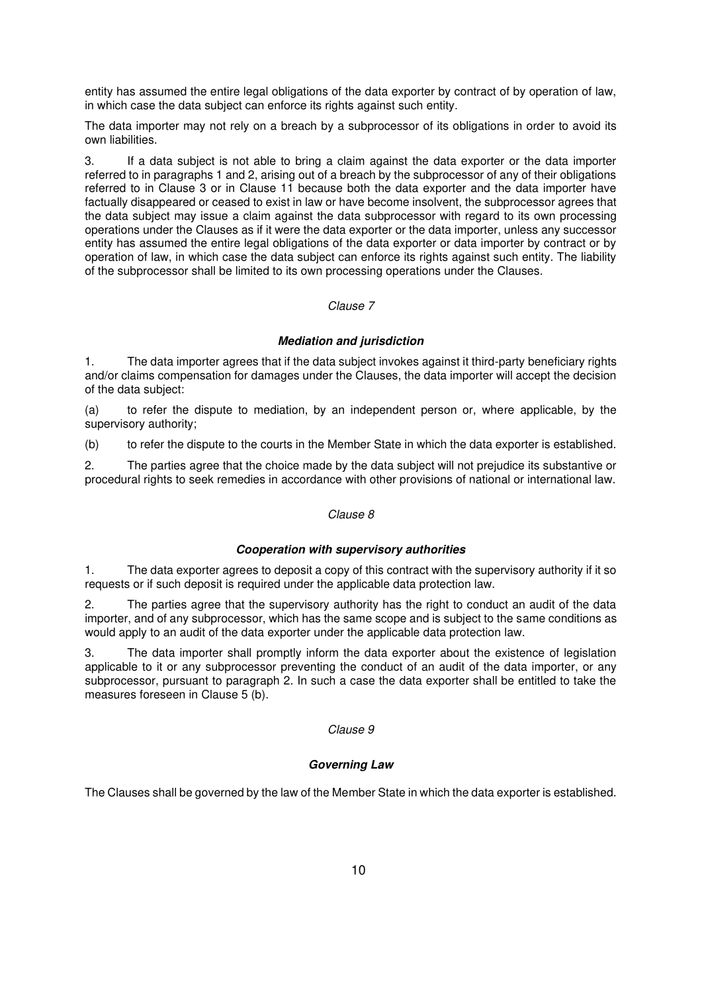entity has assumed the entire legal obligations of the data exporter by contract of by operation of law, in which case the data subject can enforce its rights against such entity.

The data importer may not rely on a breach by a subprocessor of its obligations in order to avoid its own liabilities.

3. If a data subject is not able to bring a claim against the data exporter or the data importer referred to in paragraphs 1 and 2, arising out of a breach by the subprocessor of any of their obligations referred to in Clause 3 or in Clause 11 because both the data exporter and the data importer have factually disappeared or ceased to exist in law or have become insolvent, the subprocessor agrees that the data subject may issue a claim against the data subprocessor with regard to its own processing operations under the Clauses as if it were the data exporter or the data importer, unless any successor entity has assumed the entire legal obligations of the data exporter or data importer by contract or by operation of law, in which case the data subject can enforce its rights against such entity. The liability of the subprocessor shall be limited to its own processing operations under the Clauses.

## Clause 7

## **Mediation and jurisdiction**

1. The data importer agrees that if the data subject invokes against it third-party beneficiary rights and/or claims compensation for damages under the Clauses, the data importer will accept the decision of the data subject:

(a) to refer the dispute to mediation, by an independent person or, where applicable, by the supervisory authority;

(b) to refer the dispute to the courts in the Member State in which the data exporter is established.

2. The parties agree that the choice made by the data subject will not prejudice its substantive or procedural rights to seek remedies in accordance with other provisions of national or international law.

# Clause 8

#### **Cooperation with supervisory authorities**

1. The data exporter agrees to deposit a copy of this contract with the supervisory authority if it so requests or if such deposit is required under the applicable data protection law.

2. The parties agree that the supervisory authority has the right to conduct an audit of the data importer, and of any subprocessor, which has the same scope and is subject to the same conditions as would apply to an audit of the data exporter under the applicable data protection law.

3. The data importer shall promptly inform the data exporter about the existence of legislation applicable to it or any subprocessor preventing the conduct of an audit of the data importer, or any subprocessor, pursuant to paragraph 2. In such a case the data exporter shall be entitled to take the measures foreseen in Clause 5 (b).

## Clause 9

# **Governing Law**

The Clauses shall be governed by the law of the Member State in which the data exporter is established.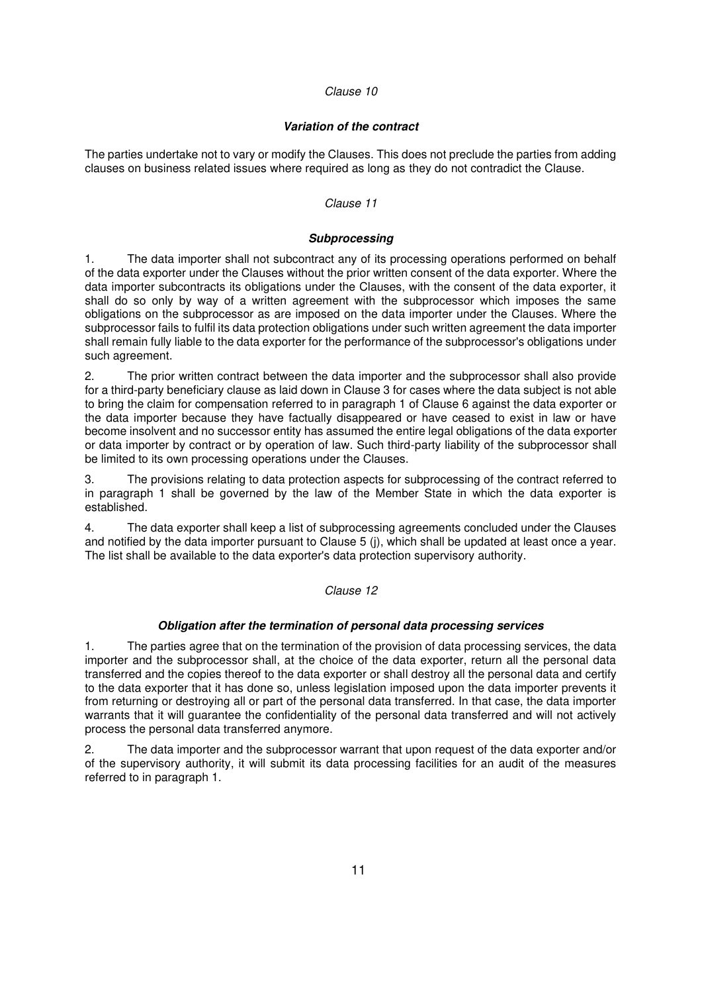## Clause 10

## **Variation of the contract**

The parties undertake not to vary or modify the Clauses. This does not preclude the parties from adding clauses on business related issues where required as long as they do not contradict the Clause.

## Clause 11

## **Subprocessing**

1. The data importer shall not subcontract any of its processing operations performed on behalf of the data exporter under the Clauses without the prior written consent of the data exporter. Where the data importer subcontracts its obligations under the Clauses, with the consent of the data exporter, it shall do so only by way of a written agreement with the subprocessor which imposes the same obligations on the subprocessor as are imposed on the data importer under the Clauses. Where the subprocessor fails to fulfil its data protection obligations under such written agreement the data importer shall remain fully liable to the data exporter for the performance of the subprocessor's obligations under such agreement.

2. The prior written contract between the data importer and the subprocessor shall also provide for a third-party beneficiary clause as laid down in Clause 3 for cases where the data subject is not able to bring the claim for compensation referred to in paragraph 1 of Clause 6 against the data exporter or the data importer because they have factually disappeared or have ceased to exist in law or have become insolvent and no successor entity has assumed the entire legal obligations of the data exporter or data importer by contract or by operation of law. Such third-party liability of the subprocessor shall be limited to its own processing operations under the Clauses.

3. The provisions relating to data protection aspects for subprocessing of the contract referred to in paragraph 1 shall be governed by the law of the Member State in which the data exporter is established.

4. The data exporter shall keep a list of subprocessing agreements concluded under the Clauses and notified by the data importer pursuant to Clause 5 (j), which shall be updated at least once a year. The list shall be available to the data exporter's data protection supervisory authority.

#### Clause 12

# **Obligation after the termination of personal data processing services**

1. The parties agree that on the termination of the provision of data processing services, the data importer and the subprocessor shall, at the choice of the data exporter, return all the personal data transferred and the copies thereof to the data exporter or shall destroy all the personal data and certify to the data exporter that it has done so, unless legislation imposed upon the data importer prevents it from returning or destroying all or part of the personal data transferred. In that case, the data importer warrants that it will guarantee the confidentiality of the personal data transferred and will not actively process the personal data transferred anymore.

2. The data importer and the subprocessor warrant that upon request of the data exporter and/or of the supervisory authority, it will submit its data processing facilities for an audit of the measures referred to in paragraph 1.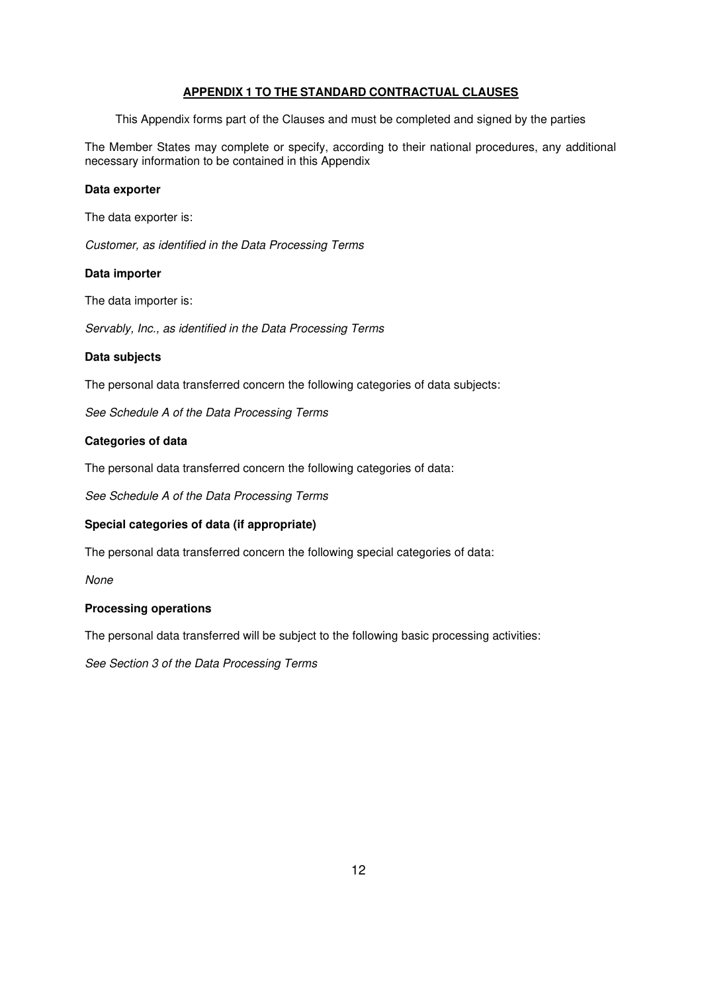## **APPENDIX 1 TO THE STANDARD CONTRACTUAL CLAUSES**

This Appendix forms part of the Clauses and must be completed and signed by the parties

The Member States may complete or specify, according to their national procedures, any additional necessary information to be contained in this Appendix

### **Data exporter**

The data exporter is:

Customer, as identified in the Data Processing Terms

## **Data importer**

The data importer is:

Servably, Inc., as identified in the Data Processing Terms

#### **Data subjects**

The personal data transferred concern the following categories of data subjects:

See Schedule A of the Data Processing Terms

## **Categories of data**

The personal data transferred concern the following categories of data:

See Schedule A of the Data Processing Terms

# **Special categories of data (if appropriate)**

The personal data transferred concern the following special categories of data:

None

# **Processing operations**

The personal data transferred will be subject to the following basic processing activities:

See Section 3 of the Data Processing Terms